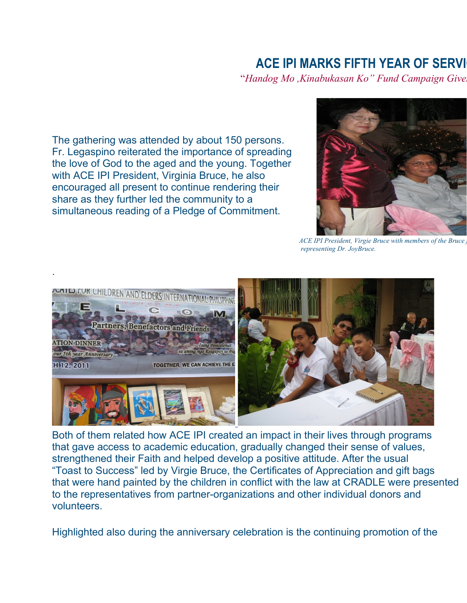## **ACE IPI MARKS FIFTH YEAR OF SERVI**

"*Handog Mo ,Kinabukasan Ko" Fund Campaign Given* 

The gathering was attended by about 150 persons. Fr. Legaspino reiterated the importance of spreading the love of God to the aged and the young. Together with ACE IPI President, Virginia Bruce, he also encouraged all present to continue rendering their share as they further led the community to a simultaneous reading of a Pledge of Commitment.



*ACE IPI President, Virgie Bruce with members of the Bruce representing Dr. JoyBruce.*



Both of them related how ACE IPI created an impact in their lives through programs that gave access to academic education, gradually changed their sense of values, strengthened their Faith and helped develop a positive attitude. After the usual "Toast to Success" led by Virgie Bruce, the Certificates of Appreciation and gift bags that were hand painted by the children in conflict with the law at CRADLE were presented to the representatives from partner-organizations and other individual donors and volunteers.

Highlighted also during the anniversary celebration is the continuing promotion of the